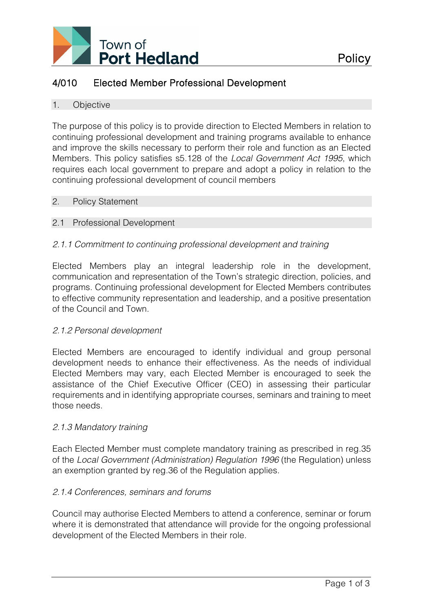

# 4/010 Elected Member Professional Development

#### 1. Objective

The purpose of this policy is to provide direction to Elected Members in relation to continuing professional development and training programs available to enhance and improve the skills necessary to perform their role and function as an Elected Members. This policy satisfies s5.128 of the *Local Government Act 1995*, which requires each local government to prepare and adopt a policy in relation to the continuing professional development of council members

#### 2. Policy Statement

## 2.1 Professional Development

# *2.1.1 Commitment to continuing professional development and training*

Elected Members play an integral leadership role in the development, communication and representation of the Town's strategic direction, policies, and programs. Continuing professional development for Elected Members contributes to effective community representation and leadership, and a positive presentation of the Council and Town.

## *2.1.2 Personal development*

Elected Members are encouraged to identify individual and group personal development needs to enhance their effectiveness. As the needs of individual Elected Members may vary, each Elected Member is encouraged to seek the assistance of the Chief Executive Officer (CEO) in assessing their particular requirements and in identifying appropriate courses, seminars and training to meet those needs.

## *2.1.3 Mandatory training*

Each Elected Member must complete mandatory training as prescribed in reg.35 of the *Local Government (Administration) Regulation 1996* (the Regulation) unless an exemption granted by reg.36 of the Regulation applies.

## *2.1.4 Conferences, seminars and forums*

Council may authorise Elected Members to attend a conference, seminar or forum where it is demonstrated that attendance will provide for the ongoing professional development of the Elected Members in their role.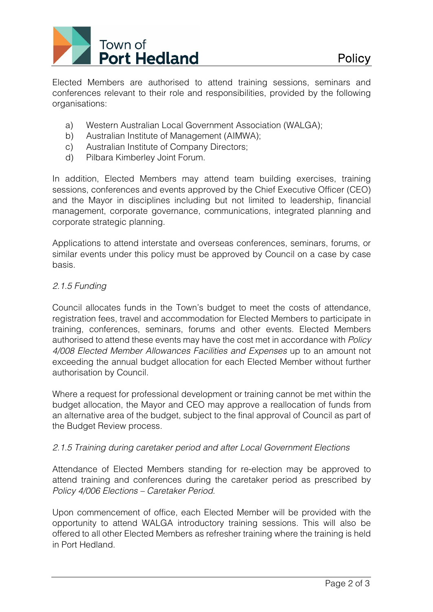

Elected Members are authorised to attend training sessions, seminars and conferences relevant to their role and responsibilities, provided by the following organisations:

- a) Western Australian Local Government Association (WALGA);
- b) Australian Institute of Management (AIMWA);
- c) Australian Institute of Company Directors;
- d) Pilbara Kimberley Joint Forum.

In addition, Elected Members may attend team building exercises, training sessions, conferences and events approved by the Chief Executive Officer (CEO) and the Mayor in disciplines including but not limited to leadership, financial management, corporate governance, communications, integrated planning and corporate strategic planning.

Applications to attend interstate and overseas conferences, seminars, forums, or similar events under this policy must be approved by Council on a case by case basis.

# *2.1.5 Funding*

Council allocates funds in the Town's budget to meet the costs of attendance, registration fees, travel and accommodation for Elected Members to participate in training, conferences, seminars, forums and other events. Elected Members authorised to attend these events may have the cost met in accordance with *Policy 4/008 Elected Member Allowances Facilities and Expenses* up to an amount not exceeding the annual budget allocation for each Elected Member without further authorisation by Council.

Where a request for professional development or training cannot be met within the budget allocation, the Mayor and CEO may approve a reallocation of funds from an alternative area of the budget, subject to the final approval of Council as part of the Budget Review process.

## *2.1.5 Training during caretaker period and after Local Government Elections*

Attendance of Elected Members standing for re-election may be approved to attend training and conferences during the caretaker period as prescribed by *Policy 4/006 Elections – Caretaker Period*.

Upon commencement of office, each Elected Member will be provided with the opportunity to attend WALGA introductory training sessions. This will also be offered to all other Elected Members as refresher training where the training is held in Port Hedland.